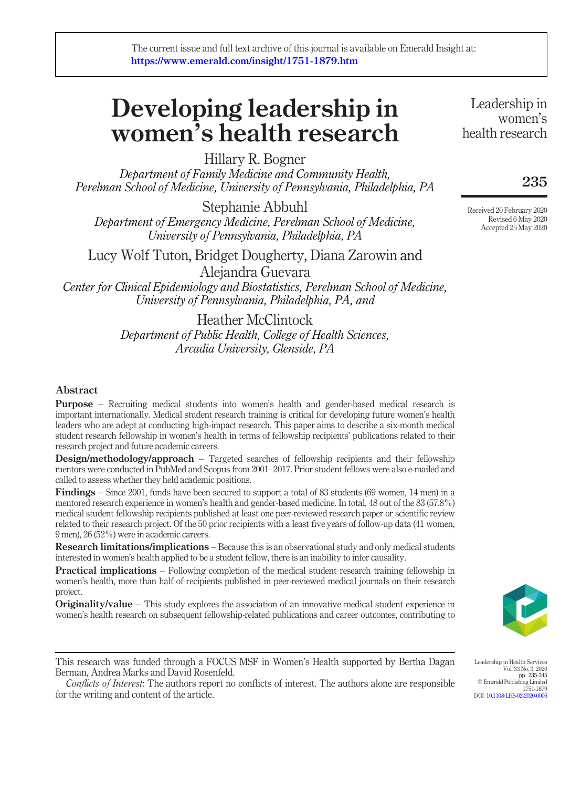# Developing leadership in women's health research

Hillary R. Bogner

Department of Family Medicine and Community Health, Perelman School of Medicine, University of Pennsylvania, Philadelphia, PA

Stephanie Abbuhl Department of Emergency Medicine, Perelman School of Medicine, University of Pennsylvania, Philadelphia, PA

Lucy Wolf Tuton, Bridget Dougherty, Diana Zarowin and Alejandra Guevara

Center for Clinical Epidemiology and Biostatistics, Perelman School of Medicine, University of Pennsylvania, Philadelphia, PA, and

> Heather McClintock Department of Public Health, College of Health Sciences, Arcadia University, Glenside, PA

### Abstract

Purpose – Recruiting medical students into women's health and gender-based medical research is important internationally. Medical student research training is critical for developing future women's health leaders who are adept at conducting high-impact research. This paper aims to describe a six-month medical student research fellowship in women's health in terms of fellowship recipients' publications related to their research project and future academic careers.

Design/methodology/approach - Targeted searches of fellowship recipients and their fellowship mentors were conducted in PubMed and Scopus from 2001–2017. Prior student fellows were also e-mailed and called to assess whether they held academic positions.

Findings – Since 2001, funds have been secured to support a total of 83 students (69 women, 14 men) in a mentored research experience in women's health and gender-based medicine. In total, 48 out of the 83 (57.8%) medical student fellowship recipients published at least one peer-reviewed research paper or scientific review related to their research project. Of the 50 prior recipients with a least five years of follow-up data (41 women, 9 men), 26 (52%) were in academic careers.

Research limitations/implications – Because this is an observational study and only medical students interested in women's health applied to be a student fellow, there is an inability to infer causality.

**Practical implications** – Following completion of the medical student research training fellowship in women's health, more than half of recipients published in peer-reviewed medical journals on their research project.

**Originality/value** – This study explores the association of an innovative medical student experience in women's health research on subsequent fellowship-related publications and career outcomes, contributing to



1751-1879

Leadership in Health Services Vol. 33 No. 3, 2020 pp. 235-245 © Emerald Publishing Limited

DOI [10.1108/LHS-02-2020-0006](http://dx.doi.org/10.1108/LHS-02-2020-0006)

This research was funded through a FOCUS MSF in Women's Health supported by Bertha Dagan Berman, Andrea Marks and David Rosenfeld.

Conflicts of Interest: The authors report no conflicts of interest. The authors alone are responsible for the writing and content of the article.

Leadership in women's health research

## 235

Received 20 February 2020 Revised 6 May 2020 Accepted 25 May 2020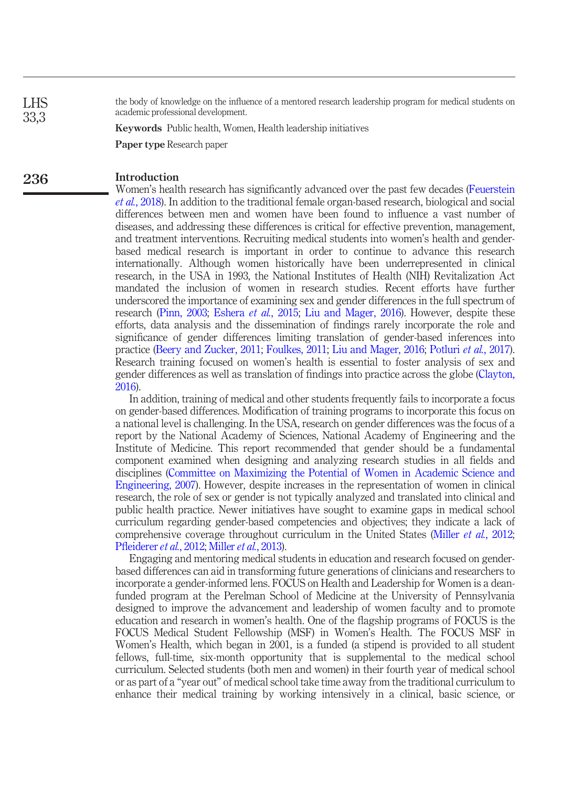the body of knowledge on the influence of a mentored research leadership program for medical students on academic professional development.

Keywords Public health, Women, Health leadership initiatives

Paper type Research paper

#### Introduction 236

LHS 33,3

> Women's health research has significantly advanced over the past few decades [\(Feuerstein](#page-8-0) et al.[, 2018](#page-8-0)). In addition to the traditional female organ-based research, biological and social differences between men and women have been found to influence a vast number of diseases, and addressing these differences is critical for effective prevention, management, and treatment interventions. Recruiting medical students into women's health and genderbased medical research is important in order to continue to advance this research internationally. Although women historically have been underrepresented in clinical research, in the USA in 1993, the National Institutes of Health (NIH) Revitalization Act mandated the inclusion of women in research studies. Recent efforts have further underscored the importance of examining sex and gender differences in the full spectrum of research ([Pinn, 2003](#page-9-0); [Eshera](#page-8-1) et al., 2015; [Liu and Mager, 2016\)](#page-9-1). However, despite these efforts, data analysis and the dissemination of findings rarely incorporate the role and significance of gender differences limiting translation of gender-based inferences into practice ([Beery and Zucker, 2011;](#page-8-2) [Foulkes, 2011;](#page-8-3) [Liu and Mager, 2016;](#page-9-1) [Potluri](#page-9-2) et al., 2017). Research training focused on women's health is essential to foster analysis of sex and gender differences as well as translation of findings into practice across the globe ([Clayton,](#page-8-4) [2016](#page-8-4)).

> In addition, training of medical and other students frequently fails to incorporate a focus on gender-based differences. Modification of training programs to incorporate this focus on a national level is challenging. In the USA, research on gender differences was the focus of a report by the National Academy of Sciences, National Academy of Engineering and the Institute of Medicine. This report recommended that gender should be a fundamental component examined when designing and analyzing research studies in all fields and disciplines ([Committee on Maximizing the Potential of Women in Academic Science and](#page-8-5) [Engineering, 2007](#page-8-5)). However, despite increases in the representation of women in clinical research, the role of sex or gender is not typically analyzed and translated into clinical and public health practice. Newer initiatives have sought to examine gaps in medical school curriculum regarding gender-based competencies and objectives; they indicate a lack of comprehensive coverage throughout curriculum in the United States (Miller *et al.*[, 2012;](#page-9-3) Pfl[eiderer](#page-9-4) et al., 2012; [Miller](#page-9-5) et al., 2013).

> Engaging and mentoring medical students in education and research focused on genderbased differences can aid in transforming future generations of clinicians and researchers to incorporate a gender-informed lens. FOCUS on Health and Leadership for Women is a deanfunded program at the Perelman School of Medicine at the University of Pennsylvania designed to improve the advancement and leadership of women faculty and to promote education and research in women's health. One of the flagship programs of FOCUS is the FOCUS Medical Student Fellowship (MSF) in Women's Health. The FOCUS MSF in Women's Health, which began in 2001, is a funded (a stipend is provided to all student fellows, full-time, six-month opportunity that is supplemental to the medical school curriculum. Selected students (both men and women) in their fourth year of medical school or as part of a "year out" of medical school take time away from the traditional curriculum to enhance their medical training by working intensively in a clinical, basic science, or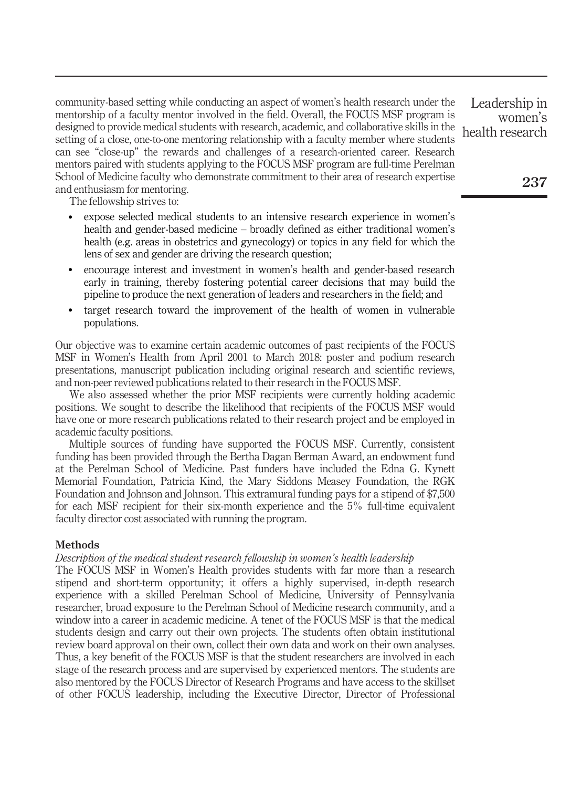community-based setting while conducting an aspect of women's health research under the mentorship of a faculty mentor involved in the field. Overall, the FOCUS MSF program is designed to provide medical students with research, academic, and collaborative skills in the setting of a close, one-to-one mentoring relationship with a faculty member where students can see "close-up" the rewards and challenges of a research-oriented career. Research mentors paired with students applying to the FOCUS MSF program are full-time Perelman School of Medicine faculty who demonstrate commitment to their area of research expertise and enthusiasm for mentoring.

The fellowship strives to:

- expose selected medical students to an intensive research experience in women's health and gender-based medicine – broadly defined as either traditional women's health (e.g. areas in obstetrics and gynecology) or topics in any field for which the lens of sex and gender are driving the research question;
- encourage interest and investment in women's health and gender-based research early in training, thereby fostering potential career decisions that may build the pipeline to produce the next generation of leaders and researchers in the field; and
- target research toward the improvement of the health of women in vulnerable populations.

Our objective was to examine certain academic outcomes of past recipients of the FOCUS MSF in Women's Health from April 2001 to March 2018: poster and podium research presentations, manuscript publication including original research and scientific reviews, and non-peer reviewed publications related to their research in the FOCUS MSF.

We also assessed whether the prior MSF recipients were currently holding academic positions. We sought to describe the likelihood that recipients of the FOCUS MSF would have one or more research publications related to their research project and be employed in academic faculty positions.

Multiple sources of funding have supported the FOCUS MSF. Currently, consistent funding has been provided through the Bertha Dagan Berman Award, an endowment fund at the Perelman School of Medicine. Past funders have included the Edna G. Kynett Memorial Foundation, Patricia Kind, the Mary Siddons Measey Foundation, the RGK Foundation and Johnson and Johnson. This extramural funding pays for a stipend of \$7,500 for each MSF recipient for their six-month experience and the 5% full-time equivalent faculty director cost associated with running the program.

#### **Methods**

#### Description of the medical student research fellowship in women's health leadership

The FOCUS MSF in Women's Health provides students with far more than a research stipend and short-term opportunity; it offers a highly supervised, in-depth research experience with a skilled Perelman School of Medicine, University of Pennsylvania researcher, broad exposure to the Perelman School of Medicine research community, and a window into a career in academic medicine. A tenet of the FOCUS MSF is that the medical students design and carry out their own projects. The students often obtain institutional review board approval on their own, collect their own data and work on their own analyses. Thus, a key benefit of the FOCUS MSF is that the student researchers are involved in each stage of the research process and are supervised by experienced mentors. The students are also mentored by the FOCUS Director of Research Programs and have access to the skillset of other FOCUS leadership, including the Executive Director, Director of Professional

Leadership in women's health research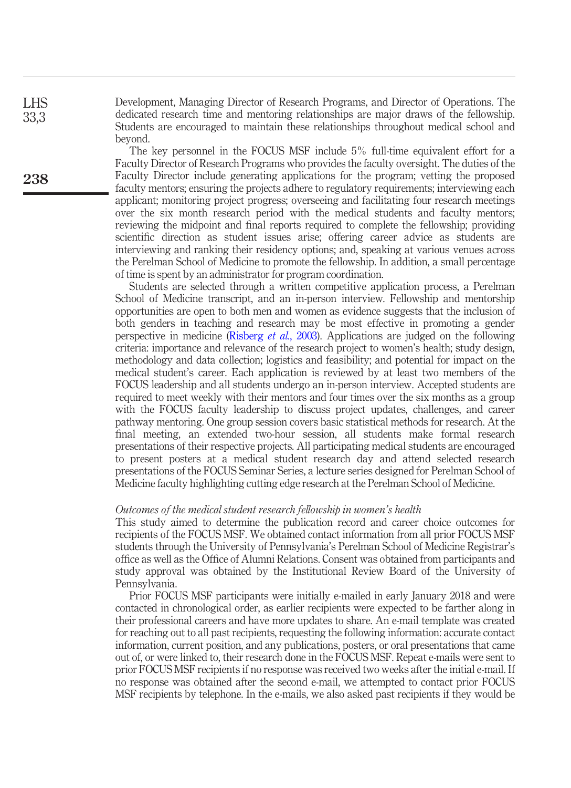Development, Managing Director of Research Programs, and Director of Operations. The dedicated research time and mentoring relationships are major draws of the fellowship. Students are encouraged to maintain these relationships throughout medical school and beyond.

> The key personnel in the FOCUS MSF include 5% full-time equivalent effort for a Faculty Director of Research Programs who provides the faculty oversight. The duties of the Faculty Director include generating applications for the program; vetting the proposed faculty mentors; ensuring the projects adhere to regulatory requirements; interviewing each applicant; monitoring project progress; overseeing and facilitating four research meetings over the six month research period with the medical students and faculty mentors; reviewing the midpoint and final reports required to complete the fellowship; providing scientific direction as student issues arise; offering career advice as students are interviewing and ranking their residency options; and, speaking at various venues across the Perelman School of Medicine to promote the fellowship. In addition, a small percentage of time is spent by an administrator for program coordination.

> Students are selected through a written competitive application process, a Perelman School of Medicine transcript, and an in-person interview. Fellowship and mentorship opportunities are open to both men and women as evidence suggests that the inclusion of both genders in teaching and research may be most effective in promoting a gender perspective in medicine [\(Risberg](#page-9-6) et al., 2003). Applications are judged on the following criteria: importance and relevance of the research project to women's health; study design, methodology and data collection; logistics and feasibility; and potential for impact on the medical student's career. Each application is reviewed by at least two members of the FOCUS leadership and all students undergo an in-person interview. Accepted students are required to meet weekly with their mentors and four times over the six months as a group with the FOCUS faculty leadership to discuss project updates, challenges, and career pathway mentoring. One group session covers basic statistical methods for research. At the final meeting, an extended two-hour session, all students make formal research presentations of their respective projects. All participating medical students are encouraged to present posters at a medical student research day and attend selected research presentations of the FOCUS Seminar Series, a lecture series designed for Perelman School of Medicine faculty highlighting cutting edge research at the Perelman School of Medicine.

#### Outcomes of the medical student research fellowship in women's health

This study aimed to determine the publication record and career choice outcomes for recipients of the FOCUS MSF. We obtained contact information from all prior FOCUS MSF students through the University of Pennsylvania's Perelman School of Medicine Registrar's office as well as the Office of Alumni Relations. Consent was obtained from participants and study approval was obtained by the Institutional Review Board of the University of Pennsylvania.

Prior FOCUS MSF participants were initially e-mailed in early January 2018 and were contacted in chronological order, as earlier recipients were expected to be farther along in their professional careers and have more updates to share. An e-mail template was created for reaching out to all past recipients, requesting the following information: accurate contact information, current position, and any publications, posters, or oral presentations that came out of, or were linked to, their research done in the FOCUS MSF. Repeat e-mails were sent to prior FOCUS MSF recipients if no response was received two weeks after the initial e-mail. If no response was obtained after the second e-mail, we attempted to contact prior FOCUS MSF recipients by telephone. In the e-mails, we also asked past recipients if they would be

LHS 33,3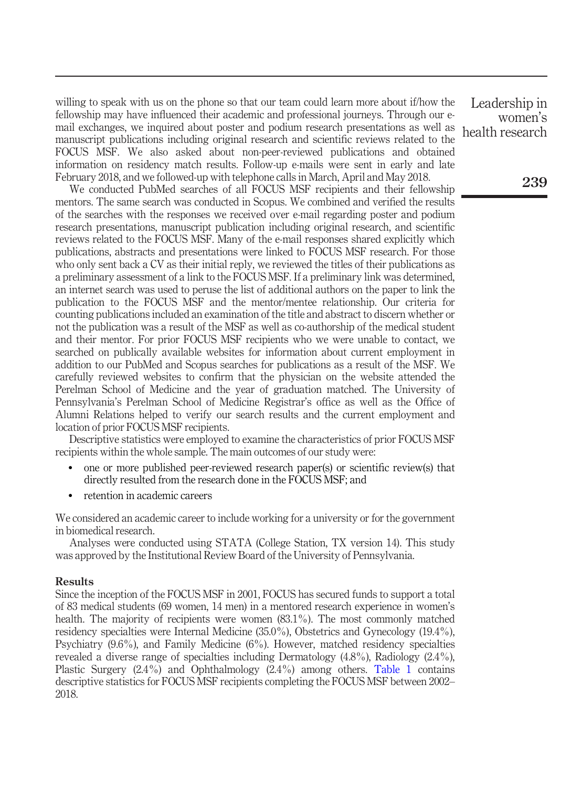willing to speak with us on the phone so that our team could learn more about if/how the fellowship may have influenced their academic and professional journeys. Through our email exchanges, we inquired about poster and podium research presentations as well as manuscript publications including original research and scientific reviews related to the FOCUS MSF. We also asked about non-peer-reviewed publications and obtained information on residency match results. Follow-up e-mails were sent in early and late February 2018, and we followed-up with telephone calls in March, April and May 2018.

We conducted PubMed searches of all FOCUS MSF recipients and their fellowship mentors. The same search was conducted in Scopus. We combined and verified the results of the searches with the responses we received over e-mail regarding poster and podium research presentations, manuscript publication including original research, and scientific reviews related to the FOCUS MSF. Many of the e-mail responses shared explicitly which publications, abstracts and presentations were linked to FOCUS MSF research. For those who only sent back a CV as their initial reply, we reviewed the titles of their publications as a preliminary assessment of a link to the FOCUS MSF. If a preliminary link was determined, an internet search was used to peruse the list of additional authors on the paper to link the publication to the FOCUS MSF and the mentor/mentee relationship. Our criteria for counting publications included an examination of the title and abstract to discern whether or not the publication was a result of the MSF as well as co-authorship of the medical student and their mentor. For prior FOCUS MSF recipients who we were unable to contact, we searched on publically available websites for information about current employment in addition to our PubMed and Scopus searches for publications as a result of the MSF. We carefully reviewed websites to confirm that the physician on the website attended the Perelman School of Medicine and the year of graduation matched. The University of Pennsylvania's Perelman School of Medicine Registrar's office as well as the Office of Alumni Relations helped to verify our search results and the current employment and location of prior FOCUS MSF recipients.

Descriptive statistics were employed to examine the characteristics of prior FOCUS MSF recipients within the whole sample. The main outcomes of our study were:

- one or more published peer-reviewed research paper(s) or scientific review(s) that directly resulted from the research done in the FOCUS MSF; and
- retention in academic careers

We considered an academic career to include working for a university or for the government in biomedical research.

Analyses were conducted using STATA (College Station, TX version 14). This study was approved by the Institutional Review Board of the University of Pennsylvania.

#### Results

Since the inception of the FOCUS MSF in 2001, FOCUS has secured funds to support a total of 83 medical students (69 women, 14 men) in a mentored research experience in women's health. The majority of recipients were women (83.1%). The most commonly matched residency specialties were Internal Medicine (35.0%), Obstetrics and Gynecology (19.4%), Psychiatry (9.6%), and Family Medicine (6%). However, matched residency specialties revealed a diverse range of specialties including Dermatology (4.8%), Radiology (2.4%), Plastic Surgery (2.4%) and Ophthalmology (2.4%) among others. [Table 1](#page-5-0) contains descriptive statistics for FOCUS MSF recipients completing the FOCUS MSF between 2002– 2018.

Leadership in women's health research

239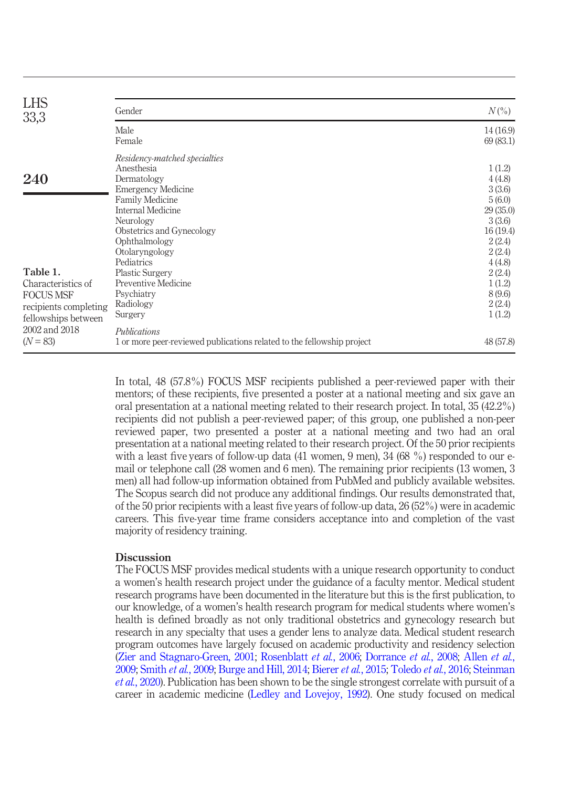| <b>LHS</b><br>33,3                                                                                                    | Gender                                                                                                                                                                                                                                                             | $N(\% )$                                                                                                       |
|-----------------------------------------------------------------------------------------------------------------------|--------------------------------------------------------------------------------------------------------------------------------------------------------------------------------------------------------------------------------------------------------------------|----------------------------------------------------------------------------------------------------------------|
|                                                                                                                       | Male<br>Female                                                                                                                                                                                                                                                     | 14(16.9)<br>69 (83.1)                                                                                          |
| 240<br>Table 1.                                                                                                       | Residency-matched specialties<br>Anesthesia<br>Dermatology<br><b>Emergency Medicine</b><br><b>Family Medicine</b><br><b>Internal Medicine</b><br>Neurology<br>Obstetrics and Gynecology<br>Ophthalmology<br>Otolaryngology<br>Pediatrics<br><b>Plastic Surgery</b> | 1(1.2)<br>4(4.8)<br>3(3.6)<br>5(6.0)<br>29(35.0)<br>3(3.6)<br>16(19.4)<br>2(2.4)<br>2(2.4)<br>4(4.8)<br>2(2.4) |
| Characteristics of<br><b>FOCUS MSF</b><br>recipients completing<br>fellowships between<br>2002 and 2018<br>$(N = 83)$ | Preventive Medicine<br>Psychiatry<br>Radiology<br>Surgery<br>Publications<br>1 or more peer-reviewed publications related to the fellowship project                                                                                                                | 1(1.2)<br>8 (9.6)<br>2(2.4)<br>1(1.2)<br>48 (57.8)                                                             |

<span id="page-5-0"></span>In total, 48 (57.8%) FOCUS MSF recipients published a peer-reviewed paper with their mentors; of these recipients, five presented a poster at a national meeting and six gave an oral presentation at a national meeting related to their research project. In total, 35 (42.2%) recipients did not publish a peer-reviewed paper; of this group, one published a non-peer reviewed paper, two presented a poster at a national meeting and two had an oral presentation at a national meeting related to their research project. Of the 50 prior recipients with a least five years of follow-up data (41 women, 9 men), 34 (68 %) responded to our email or telephone call (28 women and 6 men). The remaining prior recipients (13 women, 3 men) all had follow-up information obtained from PubMed and publicly available websites. The Scopus search did not produce any additional findings. Our results demonstrated that, of the 50 prior recipients with a least five years of follow-up data, 26 (52%) were in academic careers. This five-year time frame considers acceptance into and completion of the vast majority of residency training.

#### **Discussion**

The FOCUS MSF provides medical students with a unique research opportunity to conduct a women's health research project under the guidance of a faculty mentor. Medical student research programs have been documented in the literature but this is the first publication, to our knowledge, of a women's health research program for medical students where women's health is defined broadly as not only traditional obstetrics and gynecology research but research in any specialty that uses a gender lens to analyze data. Medical student research program outcomes have largely focused on academic productivity and residency selection [\(Zier and Stagnaro-Green, 2001](#page-9-7); [Rosenblatt](#page-9-8) et al., 2006; [Dorrance](#page-8-6) et al., 2008; [Allen](#page-8-7) et al., [2009](#page-8-7); [Smith](#page-9-9) et al., 2009; [Burge and Hill, 2014;](#page-8-8) [Bierer](#page-8-9) et al., 2015; [Toledo](#page-9-10) et al., 2016; [Steinman](#page-9-11) et al.[, 2020\)](#page-9-11). Publication has been shown to be the single strongest correlate with pursuit of a career in academic medicine ([Ledley and Lovejoy, 1992](#page-9-12)). One study focused on medical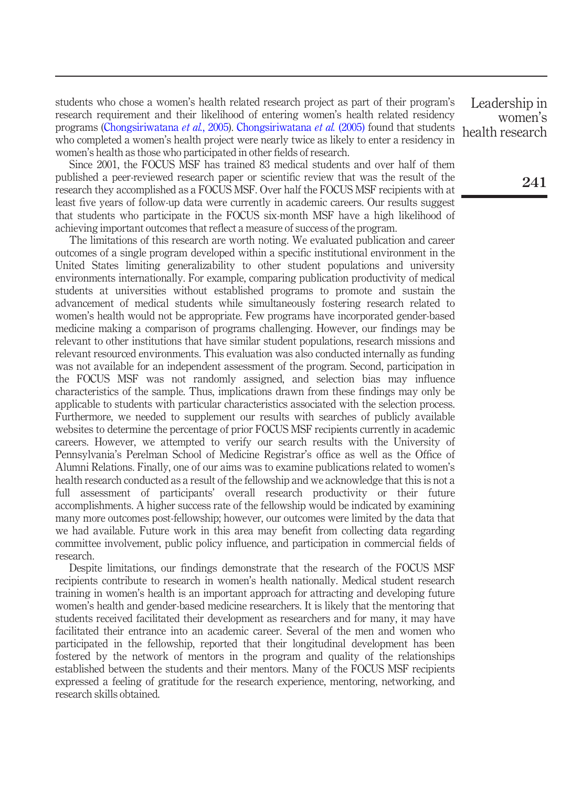students who chose a women's health related research project as part of their program's research requirement and their likelihood of entering women's health related residency programs ([Chongsiriwatana](#page-8-10) et al., 2005). [Chongsiriwatana](#page-8-10) et al. (2005) found that students who completed a women's health project were nearly twice as likely to enter a residency in women's health as those who participated in other fields of research.

Since 2001, the FOCUS MSF has trained 83 medical students and over half of them published a peer-reviewed research paper or scientific review that was the result of the research they accomplished as a FOCUS MSF. Over half the FOCUS MSF recipients with at least five years of follow-up data were currently in academic careers. Our results suggest that students who participate in the FOCUS six-month MSF have a high likelihood of achieving important outcomes that reflect a measure of success of the program.

The limitations of this research are worth noting. We evaluated publication and career outcomes of a single program developed within a specific institutional environment in the United States limiting generalizability to other student populations and university environments internationally. For example, comparing publication productivity of medical students at universities without established programs to promote and sustain the advancement of medical students while simultaneously fostering research related to women's health would not be appropriate. Few programs have incorporated gender-based medicine making a comparison of programs challenging. However, our findings may be relevant to other institutions that have similar student populations, research missions and relevant resourced environments. This evaluation was also conducted internally as funding was not available for an independent assessment of the program. Second, participation in the FOCUS MSF was not randomly assigned, and selection bias may influence characteristics of the sample. Thus, implications drawn from these findings may only be applicable to students with particular characteristics associated with the selection process. Furthermore, we needed to supplement our results with searches of publicly available websites to determine the percentage of prior FOCUS MSF recipients currently in academic careers. However, we attempted to verify our search results with the University of Pennsylvania's Perelman School of Medicine Registrar's office as well as the Office of Alumni Relations. Finally, one of our aims was to examine publications related to women's health research conducted as a result of the fellowship and we acknowledge that this is not a full assessment of participants' overall research productivity or their future accomplishments. A higher success rate of the fellowship would be indicated by examining many more outcomes post-fellowship; however, our outcomes were limited by the data that we had available. Future work in this area may benefit from collecting data regarding committee involvement, public policy influence, and participation in commercial fields of research.

Despite limitations, our findings demonstrate that the research of the FOCUS MSF recipients contribute to research in women's health nationally. Medical student research training in women's health is an important approach for attracting and developing future women's health and gender-based medicine researchers. It is likely that the mentoring that students received facilitated their development as researchers and for many, it may have facilitated their entrance into an academic career. Several of the men and women who participated in the fellowship, reported that their longitudinal development has been fostered by the network of mentors in the program and quality of the relationships established between the students and their mentors. Many of the FOCUS MSF recipients expressed a feeling of gratitude for the research experience, mentoring, networking, and research skills obtained.

Leadership in women's health research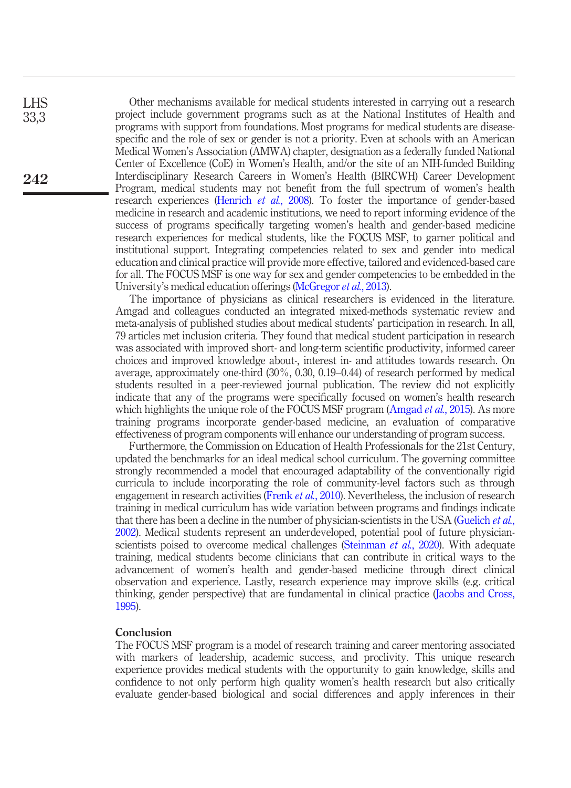Other mechanisms available for medical students interested in carrying out a research project include government programs such as at the National Institutes of Health and programs with support from foundations. Most programs for medical students are diseasespecific and the role of sex or gender is not a priority. Even at schools with an American Medical Women's Association (AMWA) chapter, designation as a federally funded National Center of Excellence (CoE) in Women's Health, and/or the site of an NIH-funded Building Interdisciplinary Research Careers in Women's Health (BIRCWH) Career Development Program, medical students may not benefit from the full spectrum of women's health research experiences ([Henrich](#page-9-13) et al., 2008). To foster the importance of gender-based medicine in research and academic institutions, we need to report informing evidence of the success of programs specifically targeting women's health and gender-based medicine research experiences for medical students, like the FOCUS MSF, to garner political and institutional support. Integrating competencies related to sex and gender into medical education and clinical practice will provide more effective, tailored and evidenced-based care for all. The FOCUS MSF is one way for sex and gender competencies to be embedded in the University's medical education offerings [\(McGregor](#page-9-14) *et al.*, 2013).

The importance of physicians as clinical researchers is evidenced in the literature. Amgad and colleagues conducted an integrated mixed-methods systematic review and meta-analysis of published studies about medical students' participation in research. In all, 79 articles met inclusion criteria. They found that medical student participation in research was associated with improved short- and long-term scientific productivity, informed career choices and improved knowledge about-, interest in- and attitudes towards research. On average, approximately one-third (30%, 0.30, 0.19–0.44) of research performed by medical students resulted in a peer-reviewed journal publication. The review did not explicitly indicate that any of the programs were specifically focused on women's health research which highlights the unique role of the FOCUS MSF program [\(Amgad](#page-8-11) *et al.*, 2015). As more training programs incorporate gender-based medicine, an evaluation of comparative effectiveness of program components will enhance our understanding of program success.

Furthermore, the Commission on Education of Health Professionals for the 21st Century, updated the benchmarks for an ideal medical school curriculum. The governing committee strongly recommended a model that encouraged adaptability of the conventionally rigid curricula to include incorporating the role of community-level factors such as through engagement in research activities [\(Frenk](#page-8-12) *et al.*, 2010). Nevertheless, the inclusion of research training in medical curriculum has wide variation between programs and findings indicate that there has been a decline in the number of physician-scientists in the USA ([Guelich](#page-8-13) *et al.*, [2002](#page-8-13)). Medical students represent an underdeveloped, potential pool of future physician-scientists poised to overcome medical challenges ([Steinman](#page-9-11) *et al.*, 2020). With adequate training, medical students become clinicians that can contribute in critical ways to the advancement of women's health and gender-based medicine through direct clinical observation and experience. Lastly, research experience may improve skills (e.g. critical thinking, gender perspective) that are fundamental in clinical practice ([Jacobs and Cross,](#page-9-15) [1995](#page-9-15)).

#### Conclusion

The FOCUS MSF program is a model of research training and career mentoring associated with markers of leadership, academic success, and proclivity. This unique research experience provides medical students with the opportunity to gain knowledge, skills and confidence to not only perform high quality women's health research but also critically evaluate gender-based biological and social differences and apply inferences in their

LHS 33,3

242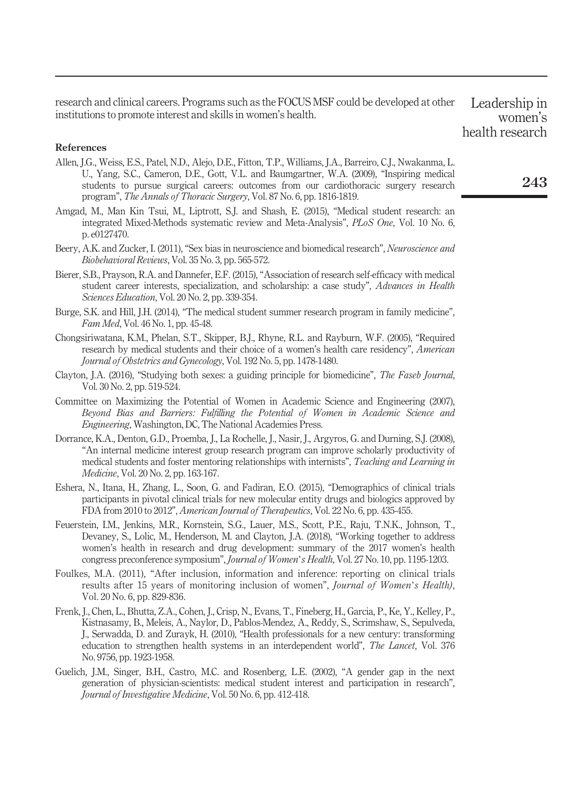research and clinical careers. Programs such as the FOCUS MSF could be developed at other institutions to promote interest and skills in women's health.

Leadership in women's health research

#### References

- <span id="page-8-7"></span>Allen, J.G., Weiss, E.S., Patel, N.D., Alejo, D.E., Fitton, T.P., Williams, J.A., Barreiro, C.J., Nwakanma, L. U., Yang, S.C., Cameron, D.E., Gott, V.L. and Baumgartner, W.A. (2009), "Inspiring medical students to pursue surgical careers: outcomes from our cardiothoracic surgery research program", The Annals of Thoracic Surgery, Vol. 87 No. 6, pp. 1816-1819.
- <span id="page-8-11"></span>Amgad, M., Man Kin Tsui, M., Liptrott, S.J. and Shash, E. (2015), "Medical student research: an integrated Mixed-Methods systematic review and Meta-Analysis", PLoS One, Vol. 10 No. 6, p. e0127470.
- <span id="page-8-2"></span>Beery, A.K. and Zucker, I. (2011), "Sex bias in neuroscience and biomedical research", Neuroscience and Biobehavioral Reviews, Vol. 35 No. 3, pp. 565-572.
- <span id="page-8-9"></span>Bierer, S.B., Prayson, R.A. and Dannefer, E.F. (2015), "Association of research self-efficacy with medical student career interests, specialization, and scholarship: a case study", Advances in Health Sciences Education, Vol. 20 No. 2, pp. 339-354.
- <span id="page-8-8"></span>Burge, S.K. and Hill, J.H. (2014), "The medical student summer research program in family medicine", Fam Med, Vol. 46 No. 1, pp. 45-48.
- <span id="page-8-10"></span>Chongsiriwatana, K.M., Phelan, S.T., Skipper, B.J., Rhyne, R.L. and Rayburn, W.F. (2005), "Required research by medical students and their choice of a women's health care residency", American Journal of Obstetrics and Gynecology, Vol. 192 No. 5, pp. 1478-1480.
- <span id="page-8-4"></span>Clayton, J.A. (2016), "Studying both sexes: a guiding principle for biomedicine", The Faseb Journal, Vol. 30 No. 2, pp. 519-524.
- <span id="page-8-5"></span>Committee on Maximizing the Potential of Women in Academic Science and Engineering (2007), Beyond Bias and Barriers: Fulfilling the Potential of Women in Academic Science and Engineering, Washington, DC, The National Academies Press.
- <span id="page-8-6"></span>Dorrance, K.A., Denton, G.D., Proemba, J., La Rochelle, J., Nasir, J., Argyros, G. and Durning, S.J. (2008), "An internal medicine interest group research program can improve scholarly productivity of medical students and foster mentoring relationships with internists", Teaching and Learning in Medicine, Vol. 20 No. 2, pp. 163-167.
- <span id="page-8-1"></span>Eshera, N., Itana, H., Zhang, L., Soon, G. and Fadiran, E.O. (2015), "Demographics of clinical trials participants in pivotal clinical trials for new molecular entity drugs and biologics approved by FDA from 2010 to 2012", American Journal of Therapeutics, Vol. 22 No. 6, pp. 435-455.
- <span id="page-8-0"></span>Feuerstein, I.M., Jenkins, M.R., Kornstein, S.G., Lauer, M.S., Scott, P.E., Raju, T.N.K., Johnson, T., Devaney, S., Lolic, M., Henderson, M. and Clayton, J.A. (2018), "Working together to address women's health in research and drug development: summary of the 2017 women's health congress preconference symposium", Journal of Women's Health, Vol. 27 No. 10, pp. 1195-1203.
- <span id="page-8-3"></span>Foulkes, M.A. (2011), "After inclusion, information and inference: reporting on clinical trials results after 15 years of monitoring inclusion of women", *Journal of Women's Health*), Vol. 20 No. 6, pp. 829-836.
- <span id="page-8-12"></span>Frenk, J., Chen, L., Bhutta, Z.A., Cohen, J., Crisp, N., Evans, T., Fineberg, H., Garcia, P., Ke, Y., Kelley, P., Kistnasamy, B., Meleis, A., Naylor, D., Pablos-Mendez, A., Reddy, S., Scrimshaw, S., Sepulveda, J., Serwadda, D. and Zurayk, H. (2010), "Health professionals for a new century: transforming education to strengthen health systems in an interdependent world", The Lancet, Vol. 376 No. 9756, pp. 1923-1958.
- <span id="page-8-13"></span>Guelich, J.M., Singer, B.H., Castro, M.C. and Rosenberg, L.E. (2002), "A gender gap in the next generation of physician-scientists: medical student interest and participation in research", Journal of Investigative Medicine, Vol. 50 No. 6, pp. 412-418.

243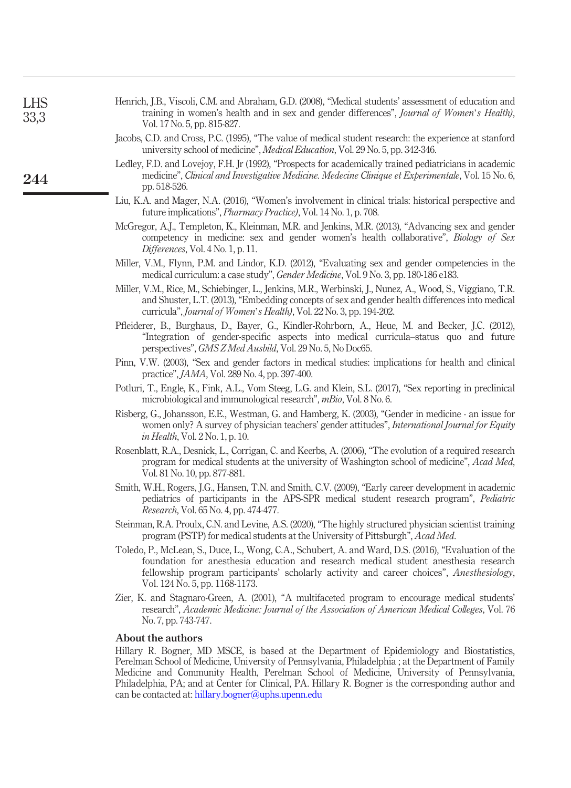<span id="page-9-15"></span><span id="page-9-14"></span><span id="page-9-13"></span><span id="page-9-12"></span><span id="page-9-11"></span><span id="page-9-10"></span><span id="page-9-9"></span><span id="page-9-8"></span><span id="page-9-7"></span><span id="page-9-6"></span><span id="page-9-5"></span><span id="page-9-4"></span><span id="page-9-3"></span><span id="page-9-2"></span><span id="page-9-1"></span><span id="page-9-0"></span>

| <b>LHS</b><br>33,3 | Henrich, J.B., Viscoli, C.M. and Abraham, G.D. (2008), "Medical students' assessment of education and<br>training in women's health and in sex and gender differences", Journal of Women's Health),<br>Vol. 17 No. 5, pp. 815-827.                                                                                                                                                                                                                                           |
|--------------------|------------------------------------------------------------------------------------------------------------------------------------------------------------------------------------------------------------------------------------------------------------------------------------------------------------------------------------------------------------------------------------------------------------------------------------------------------------------------------|
|                    | Jacobs, C.D. and Cross, P.C. (1995), "The value of medical student research: the experience at stanford<br>university school of medicine", <i>Medical Education</i> , Vol. 29 No. 5, pp. 342-346.                                                                                                                                                                                                                                                                            |
| 244                | Ledley, F.D. and Lovejoy, F.H. Jr (1992), "Prospects for academically trained pediatricians in academic<br>medicine", Clinical and Investigative Medicine. Medecine Clinique et Experimentale, Vol. 15 No. 6,<br>pp. 518-526.                                                                                                                                                                                                                                                |
|                    | Liu, K.A. and Mager, N.A. (2016), "Women's involvement in clinical trials: historical perspective and<br>future implications", <i>Pharmacy Practice</i> ), Vol. 14 No. 1, p. 708.                                                                                                                                                                                                                                                                                            |
|                    | McGregor, A.J., Templeton, K., Kleinman, M.R. and Jenkins, M.R. (2013), "Advancing sex and gender<br>competency in medicine: sex and gender women's health collaborative", Biology of Sex<br><i>Differences, Vol. 4 No. 1, p. 11.</i>                                                                                                                                                                                                                                        |
|                    | Miller, V.M., Flynn, P.M. and Lindor, K.D. (2012), "Evaluating sex and gender competencies in the<br>medical curriculum: a case study", <i>Gender Medicine</i> , Vol. 9 No. 3, pp. 180-186 e183.                                                                                                                                                                                                                                                                             |
|                    | Miller, V.M., Rice, M., Schiebinger, L., Jenkins, M.R., Werbinski, J., Nunez, A., Wood, S., Viggiano, T.R.<br>and Shuster, L.T. (2013), "Embedding concepts of sex and gender health differences into medical<br>curricula", <i>Journal of Women's Health</i> ), Vol. 22 No. 3, pp. 194-202.                                                                                                                                                                                 |
|                    | Pfleiderer, B., Burghaus, D., Bayer, G., Kindler-Rohrborn, A., Heue, M. and Becker, J.C. (2012),<br>"Integration of gender-specific aspects into medical curricula-status quo and future<br>perspectives", GMS Z Med Ausbild, Vol. 29 No. 5, No Doc65.                                                                                                                                                                                                                       |
|                    | Pinn, V.W. (2003), "Sex and gender factors in medical studies: implications for health and clinical<br>practice", <i>JAMA</i> , Vol. 289 No. 4, pp. 397-400.                                                                                                                                                                                                                                                                                                                 |
|                    | Potluri, T., Engle, K., Fink, A.L., Vom Steeg, L.G. and Klein, S.L. (2017), "Sex reporting in preclinical<br>microbiological and immunological research", <i>mBio</i> , Vol. 8 No. 6.                                                                                                                                                                                                                                                                                        |
|                    | Risberg, G., Johansson, E.E., Westman, G. and Hamberg, K. (2003), "Gender in medicine - an issue for<br>women only? A survey of physician teachers' gender attitudes", International Journal for Equity<br><i>in Health</i> , Vol. 2 No. 1, p. 10.                                                                                                                                                                                                                           |
|                    | Rosenblatt, R.A., Desnick, L., Corrigan, C. and Keerbs, A. (2006), "The evolution of a required research<br>program for medical students at the university of Washington school of medicine", Acad Med,<br>Vol. 81 No. 10, pp. 877-881.                                                                                                                                                                                                                                      |
|                    | Smith, W.H., Rogers, J.G., Hansen, T.N. and Smith, C.V. (2009), "Early career development in academic<br>pediatrics of participants in the APS-SPR medical student research program", Pediatric<br><i>Research</i> , Vol. 65 No. 4, pp. 474-477.                                                                                                                                                                                                                             |
|                    | Steinman, R.A. Proulx, C.N. and Levine, A.S. (2020), "The highly structured physician scientist training<br>program (PSTP) for medical students at the University of Pittsburgh", Acad Med.                                                                                                                                                                                                                                                                                  |
|                    | Toledo, P., McLean, S., Duce, L., Wong, C.A., Schubert, A. and Ward, D.S. (2016), "Evaluation of the<br>foundation for anesthesia education and research medical student anesthesia research<br>fellowship program participants' scholarly activity and career choices", Anesthesiology,<br>Vol. 124 No. 5, pp. 1168-1173.                                                                                                                                                   |
|                    | Zier, K. and Stagnaro-Green, A. (2001), "A multifaceted program to encourage medical students'<br>research", Academic Medicine: Journal of the Association of American Medical Colleges, Vol. 76<br>No. 7, pp. 743-747.                                                                                                                                                                                                                                                      |
|                    | About the authors<br>Hillary R. Bogner, MD MSCE, is based at the Department of Epidemiology and Biostatistics,<br>Perelman School of Medicine, University of Pennsylvania, Philadelphia; at the Department of Family<br>Medicine and Community Health, Perelman School of Medicine, University of Pennsylvania,<br>Philadelphia, PA; and at Center for Clinical, PA. Hillary R. Bogner is the corresponding author and<br>can be contacted at: hillary.bogner@uphs.upenn.edu |